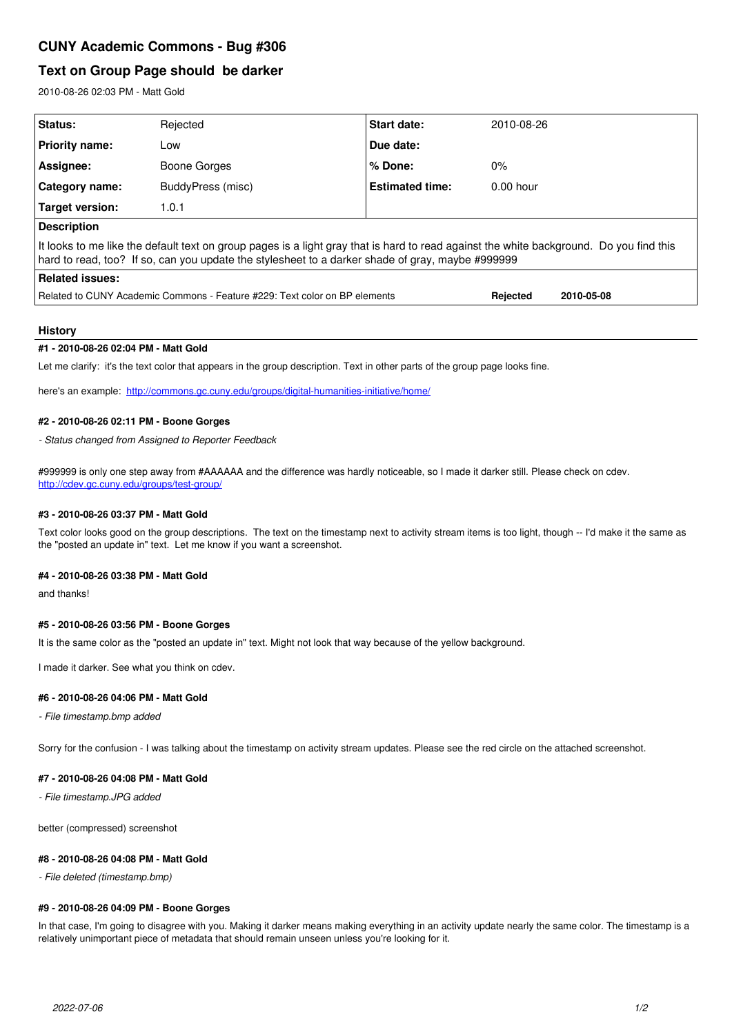# **CUNY Academic Commons - Bug #306**

## **Text on Group Page should be darker**

2010-08-26 02:03 PM - Matt Gold

| Status:                                                                                                                                                                                                                                     | Rejected          | Start date:            | 2010-08-26             |
|---------------------------------------------------------------------------------------------------------------------------------------------------------------------------------------------------------------------------------------------|-------------------|------------------------|------------------------|
| <b>Priority name:</b>                                                                                                                                                                                                                       | Low               | Due date:              |                        |
| Assignee:                                                                                                                                                                                                                                   | Boone Gorges      | $%$ Done:              | $0\%$                  |
| Category name:                                                                                                                                                                                                                              | BuddyPress (misc) | <b>Estimated time:</b> | $0.00$ hour            |
| Target version:                                                                                                                                                                                                                             | 1.0.1             |                        |                        |
| <b>Description</b>                                                                                                                                                                                                                          |                   |                        |                        |
| It looks to me like the default text on group pages is a light gray that is hard to read against the white background. Do you find this<br>hard to read, too? If so, can you update the stylesheet to a darker shade of gray, maybe #999999 |                   |                        |                        |
| Related issues:                                                                                                                                                                                                                             |                   |                        |                        |
| Related to CUNY Academic Commons - Feature #229: Text color on BP elements                                                                                                                                                                  |                   |                        | Rejected<br>2010-05-08 |

#### **History**

#### **#1 - 2010-08-26 02:04 PM - Matt Gold**

Let me clarify: it's the text color that appears in the group description. Text in other parts of the group page looks fine.

here's an example: <http://commons.gc.cuny.edu/groups/digital-humanities-initiative/home/>

## **#2 - 2010-08-26 02:11 PM - Boone Gorges**

*- Status changed from Assigned to Reporter Feedback*

#999999 is only one step away from #AAAAAA and the difference was hardly noticeable, so I made it darker still. Please check on cdev. <http://cdev.gc.cuny.edu/groups/test-group/>

#### **#3 - 2010-08-26 03:37 PM - Matt Gold**

Text color looks good on the group descriptions. The text on the timestamp next to activity stream items is too light, though -- I'd make it the same as the "posted an update in" text. Let me know if you want a screenshot.

#### **#4 - 2010-08-26 03:38 PM - Matt Gold**

and thanks!

#### **#5 - 2010-08-26 03:56 PM - Boone Gorges**

It is the same color as the "posted an update in" text. Might not look that way because of the yellow background.

I made it darker. See what you think on cdev.

### **#6 - 2010-08-26 04:06 PM - Matt Gold**

*- File timestamp.bmp added*

Sorry for the confusion - I was talking about the timestamp on activity stream updates. Please see the red circle on the attached screenshot.

#### **#7 - 2010-08-26 04:08 PM - Matt Gold**

*- File timestamp.JPG added*

better (compressed) screenshot

## **#8 - 2010-08-26 04:08 PM - Matt Gold**

*- File deleted (timestamp.bmp)*

## **#9 - 2010-08-26 04:09 PM - Boone Gorges**

In that case, I'm going to disagree with you. Making it darker means making everything in an activity update nearly the same color. The timestamp is a relatively unimportant piece of metadata that should remain unseen unless you're looking for it.